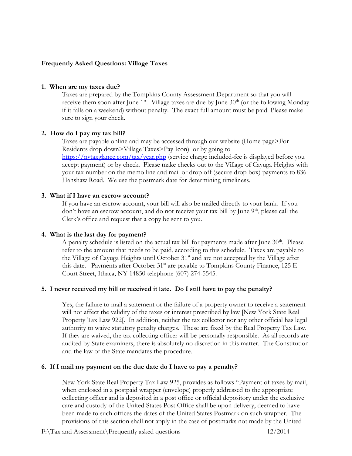### **Frequently Asked Questions: Village Taxes**

#### **1. When are my taxes due?**

Taxes are prepared by the Tompkins County Assessment Department so that you will receive them soon after June  $1^{st}$ . Village taxes are due by June  $30^{th}$  (or the following Monday if it falls on a weekend) without penalty. The exact full amount must be paid. Please make sure to sign your check.

### **2. How do I pay my tax bill?**

Taxes are payable online and may be accessed through our website (Home page>For Residents drop down>Village Taxes>Pay Icon) or by going to <https://nytaxglance.com/tax/year.php> (service charge included-fee is displayed before you accept payment) or by check. Please make checks out to the Village of Cayuga Heights with your tax number on the memo line and mail or drop off (secure drop box) payments to 836 Hanshaw Road. We use the postmark date for determining timeliness.

### **3. What if I have an escrow account?**

If you have an escrow account, your bill will also be mailed directly to your bank. If you don't have an escrow account, and do not receive your tax bill by June  $9<sup>th</sup>$ , please call the Clerk's office and request that a copy be sent to you.

### **4. What is the last day for payment?**

A penalty schedule is listed on the actual tax bill for payments made after June  $30<sup>th</sup>$ . Please refer to the amount that needs to be paid, according to this schedule. Taxes are payable to the Village of Cayuga Heights until October 31<sup>st</sup> and are not accepted by the Village after this date. Payments after October  $31<sup>st</sup>$  are payable to Tompkins County Finance, 125 E Court Street, Ithaca, NY 14850 telephone (607) 274-5545.

### **5. I never received my bill or received it late. Do I still have to pay the penalty?**

Yes, the failure to mail a statement or the failure of a property owner to receive a statement will not affect the validity of the taxes or interest prescribed by law [New York State Real Property Tax Law 922[. In addition, neither the tax collector nor any other official has legal authority to waive statutory penalty charges. These are fixed by the Real Property Tax Law. If they are waived, the tax collecting officer will be personally responsible. As all records are audited by State examiners, there is absolutely no discretion in this matter. The Constitution and the law of the State mandates the procedure.

### **6. If I mail my payment on the due date do I have to pay a penalty?**

New York State Real Property Tax Law 925, provides as follows "Payment of taxes by mail, when enclosed in a postpaid wrapper (envelope) properly addressed to the appropriate collecting officer and is deposited in a post office or official depository under the exclusive care and custody of the United States Post Office shall be upon delivery, deemed to have been made to such offices the dates of the United States Postmark on such wrapper. The provisions of this section shall not apply in the case of postmarks not made by the United